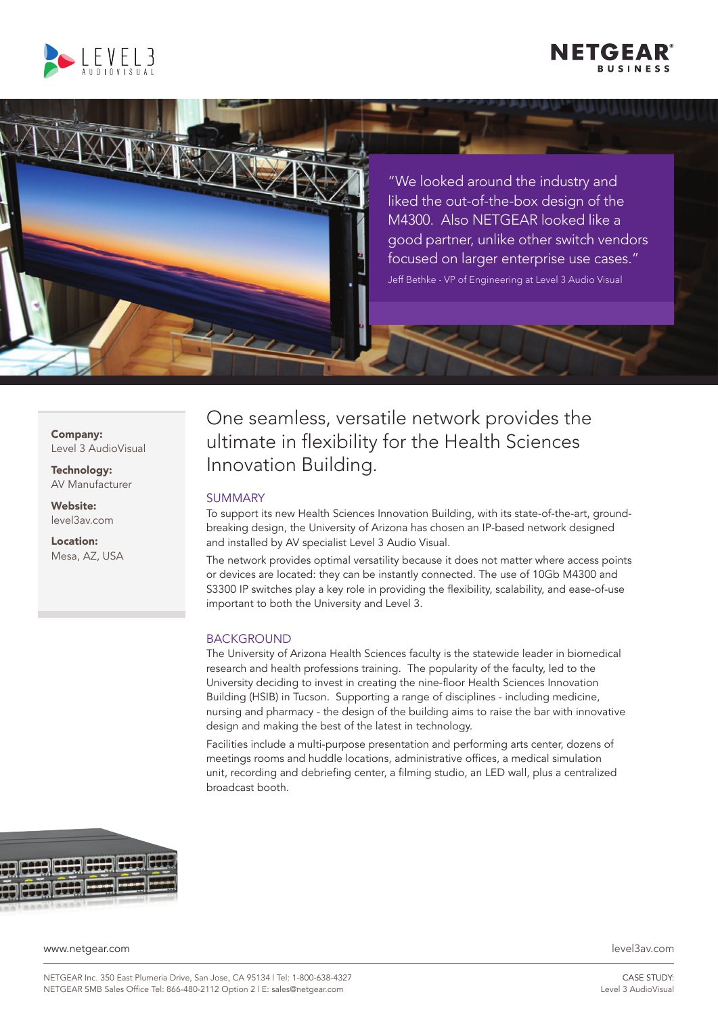





"We looked around the industry and liked the out-of-the-box design of the M4300. Also NETGEAR looked like a good partner, unlike other switch vendors focused on larger enterprise use cases." Jeff Bethke - VP of Engineering at Level 3 Audio Visual

Company: Level 3 AudioVisual

Technology: AV Manufacturer

Website: level3av.com

Location: Mesa, AZ, USA One seamless, versatile network provides the ultimate in flexibility for the Health Sciences Innovation Building.

# SUMMARY

To support its new Health Sciences Innovation Building, with its state-of-the-art, groundbreaking design, the University of Arizona has chosen an IP-based network designed and installed by AV specialist Level 3 Audio Visual.

The network provides optimal versatility because it does not matter where access points or devices are located: they can be instantly connected. The use of 10Gb M4300 and S3300 IP switches play a key role in providing the flexibility, scalability, and ease-of-use important to both the University and Level 3.

# BACKGROUND

The University of Arizona Health Sciences faculty is the statewide leader in biomedical research and health professions training. The popularity of the faculty, led to the University deciding to invest in creating the nine-floor Health Sciences Innovation Building (HSIB) in Tucson. Supporting a range of disciplines - including medicine, nursing and pharmacy - the design of the building aims to raise the bar with innovative design and making the best of the latest in technology.

Facilities include a multi-purpose presentation and performing arts center, dozens of meetings rooms and huddle locations, administrative offices, a medical simulation unit, recording and debriefing center, a filming studio, an LED wall, plus a centralized broadcast booth.



www.netgear.com level3av.com

CASE STUDY: Level 3 AudioVisual